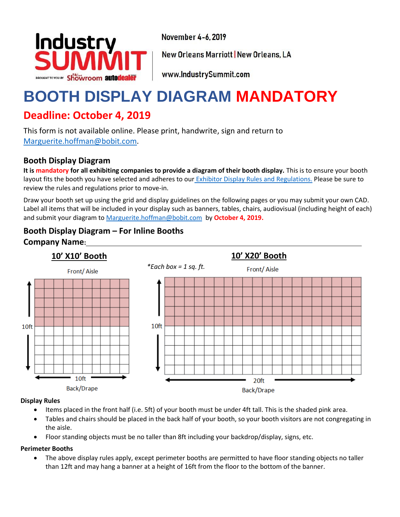

November 4-6, 2019

**New Orleans Marriott | New Orleans, LA** 

www.IndustrySummit.com

# **BOOTH DISPLAY DIAGRAM MANDATORY**

## **Deadline: October 4, 2019**

This form is not available online. Please print, handwrite, sign and return to [Marguerite.hoffman@bobit.com.](mailto:marguerite.hoffman@bobit.com)

## **Booth Display Diagram**

**It is mandatory for all exhibiting companies to provide a diagram of their booth display.** This is to ensure your booth layout fits the booth you have selected and adheres to our [Exhibitor Display Rules and Regulations.](https://eventsimages.bobitstudios.com/upload/pdfs/is/2018/service-kit/exhibit-display-facility-rules-regulations_industry-summit-2018.pdf) Please be sure to review the rules and regulations prior to move-in.

Draw your booth set up using the grid and display guidelines on the following pages or you may submit your own CAD. Label all items that will be included in your display such as banners, tables, chairs, audiovisual (including height of each) and submit your diagram t[o Marguerite.hoffman@bobit.com](mailto:marguerite.hoffman@bobit.com) by **October 4, 2019.**

## **Booth Display Diagram – For Inline Booths Company Name:**



#### **Display Rules**

- Items placed in the front half (i.e. 5ft) of your booth must be under 4ft tall. This is the shaded pink area.
- Tables and chairs should be placed in the back half of your booth, so your booth visitors are not congregating in the aisle.
- Floor standing objects must be no taller than 8ft including your backdrop/display, signs, etc.

#### **Perimeter Booths**

• The above display rules apply, except perimeter booths are permitted to have floor standing objects no taller than 12ft and may hang a banner at a height of 16ft from the floor to the bottom of the banner.